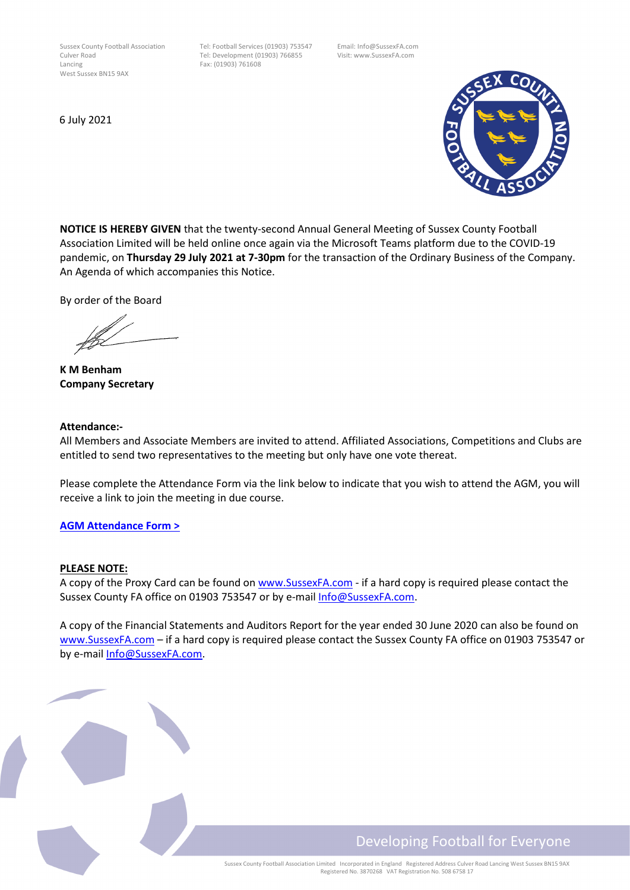Sussex County Football Association Tel: Football Services (01903) 753547 Email: Info@SussexFA.com Culver Road Tel: Development (01903) 766855 Visit: www.SussexFA.com<br>
Fax: (01903) 761608 West Sussex BN15 9AX

Fax: (01903) 761608

6 July 2021



**NOTICE IS HEREBY GIVEN** that the twenty-second Annual General Meeting of Sussex County Football Association Limited will be held online once again via the Microsoft Teams platform due to the COVID-19 pandemic, on **Thursday 29 July 2021 at 7-30pm** for the transaction of the Ordinary Business of the Company. An Agenda of which accompanies this Notice.

By order of the Board

 **K M Benham Company Secretary**

#### **Attendance:-**

All Members and Associate Members are invited to attend. Affiliated Associations, Competitions and Clubs are entitled to send two representatives to the meeting but only have one vote thereat.

Please complete the Attendance Form via the link below to indicate that you wish to attend the AGM, you will receive a link to join the meeting in due course.

#### **[AGM Attendance Form >](https://forms.office.com/r/85PP9wssXf)**

#### **PLEASE NOTE:**

A copy of the Proxy Card can be found on [www.SussexFA.com -](http://www.sussexfa.com/news/2020/jun/03/notice-of-agm) if a hard copy is required please contact the Sussex County FA office on 01903 753547 or by e-mail [Info@SussexFA.com.](mailto:Info@SussexFA.com)

A copy of the Financial Statements and Auditors Report for the year ended 30 June 2020 can also be found on [www.SussexFA.com](http://www.sussexfa.com/news/2020/jun/03/notice-of-agm) – if a hard copy is required please contact the Sussex County FA office on 01903 753547 or by e-mail [Info@SussexFA.com.](mailto:Info@SussexFA.com)

# Developing Football for Everyone

Sussex County Football Association Limited Incorporated in England Registered Address Culver Road Lancing West Sussex BN15 9AX Registered No. 3870268 VAT Registration No. 508 6758 17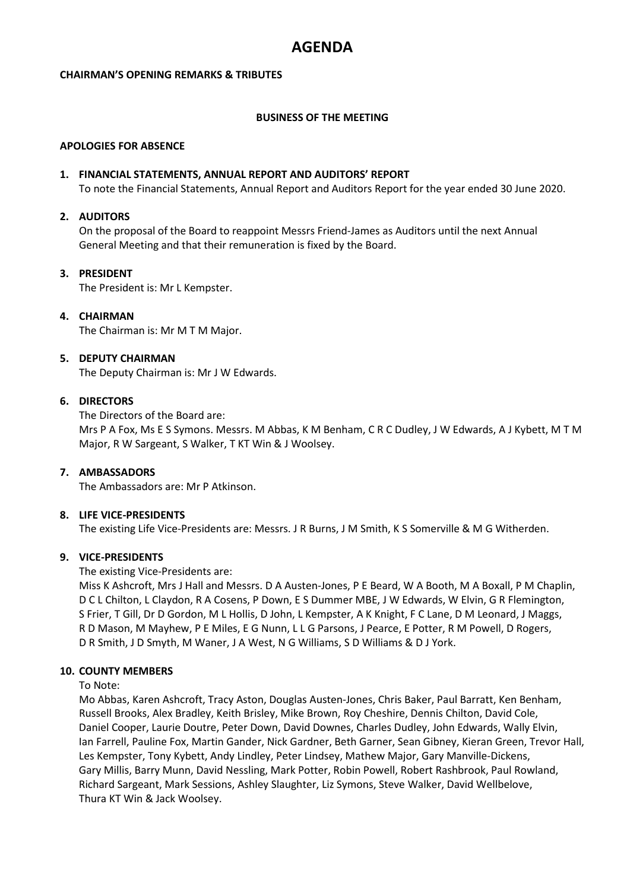## **AGENDA**

#### **CHAIRMAN'S OPENING REMARKS & TRIBUTES**

#### **BUSINESS OF THE MEETING**

#### **APOLOGIES FOR ABSENCE**

#### **1. FINANCIAL STATEMENTS, ANNUAL REPORT AND AUDITORS' REPORT**

To note the Financial Statements, Annual Report and Auditors Report for the year ended 30 June 2020.

#### **2. AUDITORS**

On the proposal of the Board to reappoint Messrs Friend-James as Auditors until the next Annual General Meeting and that their remuneration is fixed by the Board.

#### **3. PRESIDENT**

The President is: Mr L Kempster.

#### **4. CHAIRMAN**

The Chairman is: Mr M T M Major.

#### **5. DEPUTY CHAIRMAN**

The Deputy Chairman is: Mr J W Edwards.

#### **6. DIRECTORS**

The Directors of the Board are: Mrs P A Fox, Ms E S Symons. Messrs. M Abbas, K M Benham, C R C Dudley, J W Edwards, A J Kybett, M T M Major, R W Sargeant, S Walker, T KT Win & J Woolsey.

#### **7. AMBASSADORS**

The Ambassadors are: Mr P Atkinson.

#### **8. LIFE VICE-PRESIDENTS**

The existing Life Vice-Presidents are: Messrs. J R Burns, J M Smith, K S Somerville & M G Witherden.

#### **9. VICE-PRESIDENTS**

#### The existing Vice-Presidents are:

Miss K Ashcroft, Mrs J Hall and Messrs. D A Austen-Jones, P E Beard, W A Booth, M A Boxall, P M Chaplin, D C L Chilton, L Claydon, R A Cosens, P Down, E S Dummer MBE, J W Edwards, W Elvin, G R Flemington, S Frier, T Gill, Dr D Gordon, M L Hollis, D John, L Kempster, A K Knight, F C Lane, D M Leonard, J Maggs, R D Mason, M Mayhew, P E Miles, E G Nunn, L L G Parsons, J Pearce, E Potter, R M Powell, D Rogers, D R Smith, J D Smyth, M Waner, J A West, N G Williams, S D Williams & D J York.

#### **10. COUNTY MEMBERS**

#### To Note:

Mo Abbas, Karen Ashcroft, Tracy Aston, Douglas Austen-Jones, Chris Baker, Paul Barratt, Ken Benham, Russell Brooks, Alex Bradley, Keith Brisley, Mike Brown, Roy Cheshire, Dennis Chilton, David Cole, Daniel Cooper, Laurie Doutre, Peter Down, David Downes, Charles Dudley, John Edwards, Wally Elvin, Ian Farrell, Pauline Fox, Martin Gander, Nick Gardner, Beth Garner, Sean Gibney, Kieran Green, Trevor Hall, Les Kempster, Tony Kybett, Andy Lindley, Peter Lindsey, Mathew Major, Gary Manville-Dickens, Gary Millis, Barry Munn, David Nessling, Mark Potter, Robin Powell, Robert Rashbrook, Paul Rowland, Richard Sargeant, Mark Sessions, Ashley Slaughter, Liz Symons, Steve Walker, David Wellbelove, Thura KT Win & Jack Woolsey.